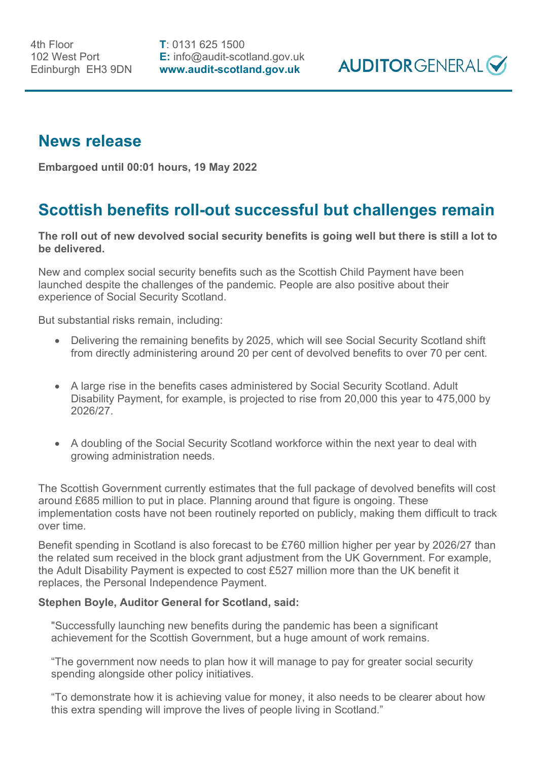**T**: 0131 625 1500 **E:** info@audit-scotland.gov.uk **www.audit-scotland.gov.uk**



## **News release**

**Embargoed until 00:01 hours, 19 May 2022**

## **Scottish benefits roll-out successful but challenges remain**

**The roll out of new devolved social security benefits is going well but there is still a lot to be delivered.**

New and complex social security benefits such as the Scottish Child Payment have been launched despite the challenges of the pandemic. People are also positive about their experience of Social Security Scotland.

But substantial risks remain, including:

- Delivering the remaining benefits by 2025, which will see Social Security Scotland shift from directly administering around 20 per cent of devolved benefits to over 70 per cent.
- A large rise in the benefits cases administered by Social Security Scotland. Adult Disability Payment, for example, is projected to rise from 20,000 this year to 475,000 by 2026/27.
- A doubling of the Social Security Scotland workforce within the next year to deal with growing administration needs.

The Scottish Government currently estimates that the full package of devolved benefits will cost around £685 million to put in place. Planning around that figure is ongoing. These implementation costs have not been routinely reported on publicly, making them difficult to track over time.

Benefit spending in Scotland is also forecast to be £760 million higher per year by 2026/27 than the related sum received in the block grant adjustment from the UK Government. For example, the Adult Disability Payment is expected to cost £527 million more than the UK benefit it replaces, the Personal Independence Payment.

## **Stephen Boyle, Auditor General for Scotland, said:**

"Successfully launching new benefits during the pandemic has been a significant achievement for the Scottish Government, but a huge amount of work remains.

"The government now needs to plan how it will manage to pay for greater social security spending alongside other policy initiatives.

"To demonstrate how it is achieving value for money, it also needs to be clearer about how this extra spending will improve the lives of people living in Scotland."